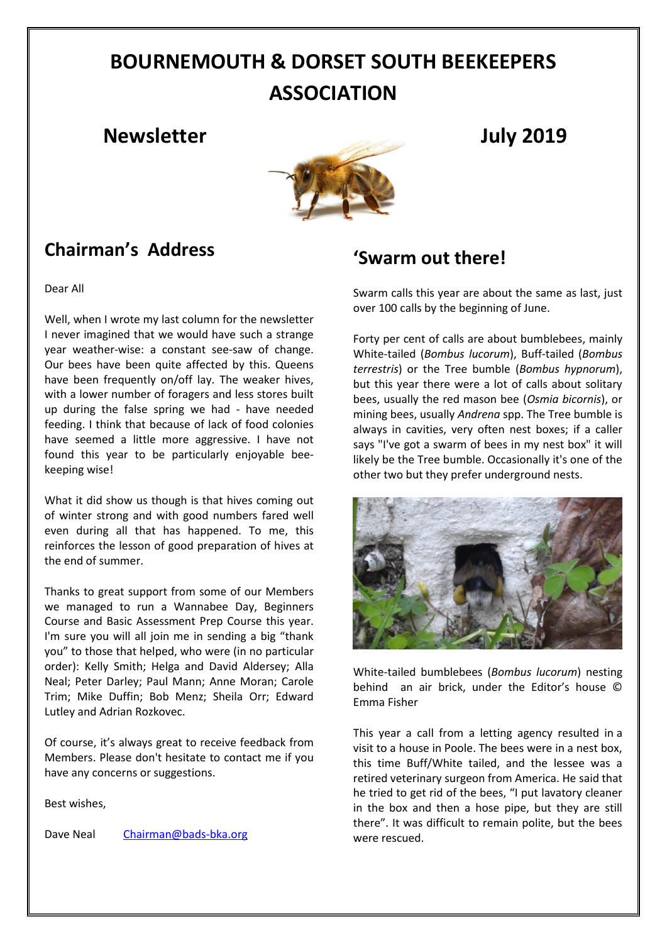# **BOURNEMOUTH & DORSET SOUTH BEEKEEPERS ASSOCIATION**

### **Newsletter July 2019**



## **Chairman's Address**

Dear All

Well, when I wrote my last column for the newsletter I never imagined that we would have such a strange year weather-wise: a constant see-saw of change. Our bees have been quite affected by this. Queens have been frequently on/off lay. The weaker hives, with a lower number of foragers and less stores built up during the false spring we had - have needed feeding. I think that because of lack of food colonies have seemed a little more aggressive. I have not found this year to be particularly enjoyable beekeeping wise!

What it did show us though is that hives coming out of winter strong and with good numbers fared well even during all that has happened. To me, this reinforces the lesson of good preparation of hives at the end of summer.

Thanks to great support from some of our Members we managed to run a Wannabee Day, Beginners Course and Basic Assessment Prep Course this year. I'm sure you will all join me in sending a big "thank you" to those that helped, who were (in no particular order): Kelly Smith; Helga and David Aldersey; Alla Neal; Peter Darley; Paul Mann; Anne Moran; Carole Trim; Mike Duffin; Bob Menz; Sheila Orr; Edward Lutley and Adrian Rozkovec.

Of course, it's always great to receive feedback from Members. Please don't hesitate to contact me if you have any concerns or suggestions.

Best wishes,

Dave Neal [Chairman@bads-bka.org](mailto:Chairman@bads-bka.org)

### **'Swarm out there!**

Swarm calls this year are about the same as last, just over 100 calls by the beginning of June.

Forty per cent of calls are about bumblebees, mainly White-tailed (*Bombus lucorum*), Buff-tailed (*Bombus terrestris*) or the Tree bumble (*Bombus hypnorum*), but this year there were a lot of calls about solitary bees, usually the red mason bee (*Osmia bicornis*), or mining bees, usually *Andrena* spp. The Tree bumble is always in cavities, very often nest boxes; if a caller says "I've got a swarm of bees in my nest box" it will likely be the Tree bumble. Occasionally it's one of the other two but they prefer underground nests.



White-tailed bumblebees (*Bombus lucorum*) nesting behind an air brick, under the Editor's house © Emma Fisher

This year a call from a letting agency resulted in a visit to a house in Poole. The bees were in a nest box, this time Buff/White tailed, and the lessee was a retired veterinary surgeon from America. He said that he tried to get rid of the bees, "I put lavatory cleaner in the box and then a hose pipe, but they are still there". It was difficult to remain polite, but the bees were rescued.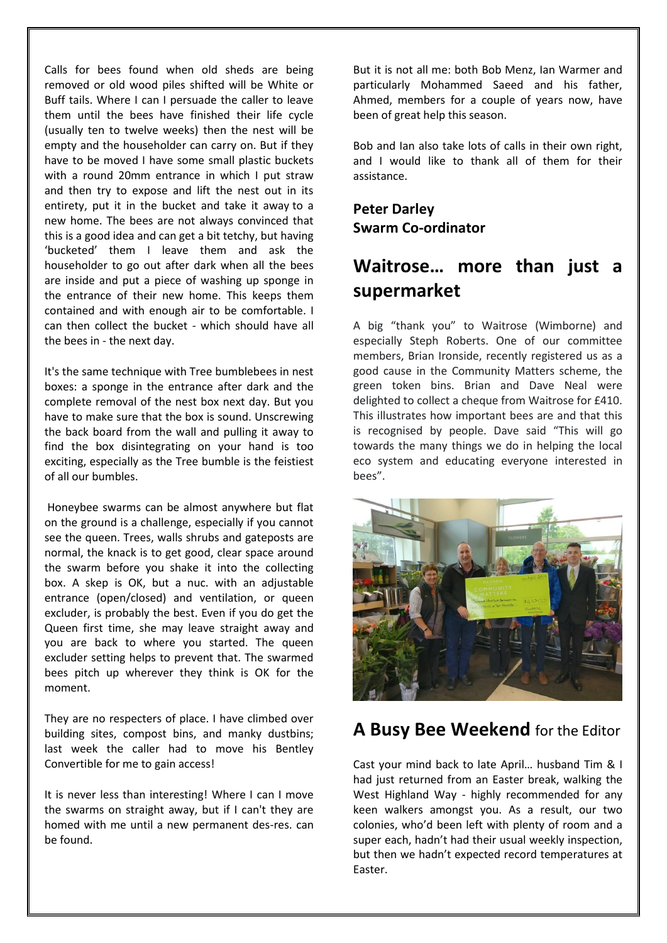Calls for bees found when old sheds are being removed or old wood piles shifted will be White or Buff tails. Where I can I persuade the caller to leave them until the bees have finished their life cycle (usually ten to twelve weeks) then the nest will be empty and the householder can carry on. But if they have to be moved I have some small plastic buckets with a round 20mm entrance in which I put straw and then try to expose and lift the nest out in its entirety, put it in the bucket and take it away to a new home. The bees are not always convinced that this is a good idea and can get a bit tetchy, but having 'bucketed' them I leave them and ask the householder to go out after dark when all the bees are inside and put a piece of washing up sponge in the entrance of their new home. This keeps them contained and with enough air to be comfortable. I can then collect the bucket - which should have all the bees in - the next day.

It's the same technique with Tree bumblebees in nest boxes: a sponge in the entrance after dark and the complete removal of the nest box next day. But you have to make sure that the box is sound. Unscrewing the back board from the wall and pulling it away to find the box disintegrating on your hand is too exciting, especially as the Tree bumble is the feistiest of all our bumbles.

Honeybee swarms can be almost anywhere but flat on the ground is a challenge, especially if you cannot see the queen. Trees, walls shrubs and gateposts are normal, the knack is to get good, clear space around the swarm before you shake it into the collecting box. A skep is OK, but a nuc. with an adjustable entrance (open/closed) and ventilation, or queen excluder, is probably the best. Even if you do get the Queen first time, she may leave straight away and you are back to where you started. The queen excluder setting helps to prevent that. The swarmed bees pitch up wherever they think is OK for the moment.

They are no respecters of place. I have climbed over building sites, compost bins, and manky dustbins; last week the caller had to move his Bentley Convertible for me to gain access!

It is never less than interesting! Where I can I move the swarms on straight away, but if I can't they are homed with me until a new permanent des-res. can be found.

But it is not all me: both Bob Menz, Ian Warmer and particularly Mohammed Saeed and his father, Ahmed, members for a couple of years now, have been of great help this season.

Bob and Ian also take lots of calls in their own right, and I would like to thank all of them for their assistance.

**Peter Darley Swarm Co-ordinator**

## **Waitrose… more than just a supermarket**

A big "thank you" to Waitrose (Wimborne) and especially Steph Roberts. One of our committee members, Brian Ironside, recently registered us as a good cause in the Community Matters scheme, the green token bins. Brian and Dave Neal were delighted to collect a cheque from Waitrose for £410. This illustrates how important bees are and that this is recognised by people. Dave said "This will go towards the many things we do in helping the local eco system and educating everyone interested in bees".



#### **A Busy Bee Weekend** for the Editor

Cast your mind back to late April… husband Tim & I had just returned from an Easter break, walking the West Highland Way - highly recommended for any keen walkers amongst you. As a result, our two colonies, who'd been left with plenty of room and a super each, hadn't had their usual weekly inspection, but then we hadn't expected record temperatures at Easter.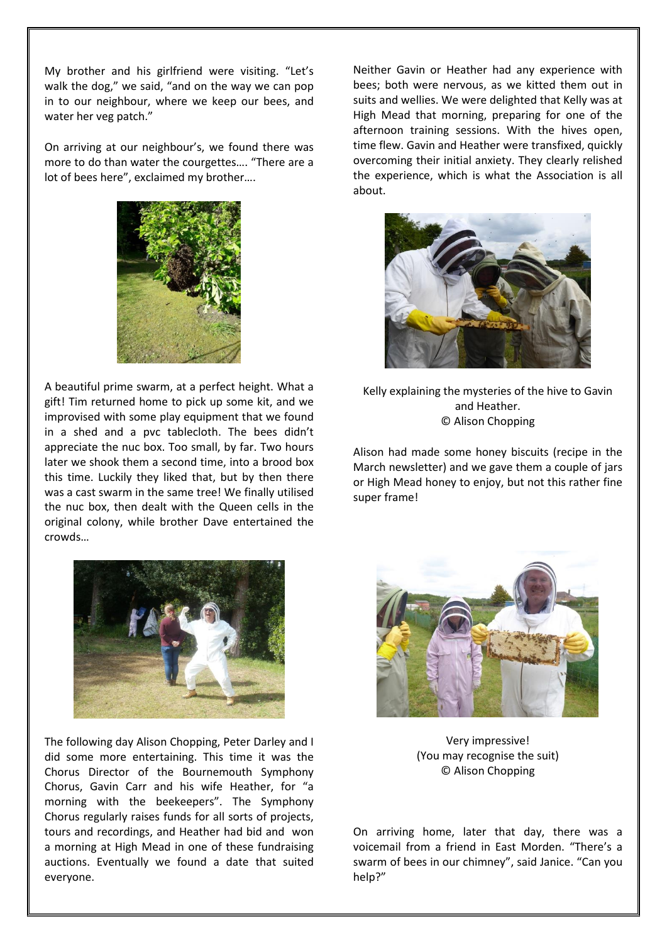My brother and his girlfriend were visiting. "Let's walk the dog," we said, "and on the way we can pop in to our neighbour, where we keep our bees, and water her veg patch."

On arriving at our neighbour's, we found there was more to do than water the courgettes…. "There are a lot of bees here", exclaimed my brother….



A beautiful prime swarm, at a perfect height. What a gift! Tim returned home to pick up some kit, and we improvised with some play equipment that we found in a shed and a pvc tablecloth. The bees didn't appreciate the nuc box. Too small, by far. Two hours later we shook them a second time, into a brood box this time. Luckily they liked that, but by then there was a cast swarm in the same tree! We finally utilised the nuc box, then dealt with the Queen cells in the original colony, while brother Dave entertained the crowds…



The following day Alison Chopping, Peter Darley and I did some more entertaining. This time it was the Chorus Director of the Bournemouth Symphony Chorus, Gavin Carr and his wife Heather, for "a morning with the beekeepers". The Symphony Chorus regularly raises funds for all sorts of projects, tours and recordings, and Heather had bid and won a morning at High Mead in one of these fundraising auctions. Eventually we found a date that suited everyone.

Neither Gavin or Heather had any experience with bees; both were nervous, as we kitted them out in suits and wellies. We were delighted that Kelly was at High Mead that morning, preparing for one of the afternoon training sessions. With the hives open, time flew. Gavin and Heather were transfixed, quickly overcoming their initial anxiety. They clearly relished the experience, which is what the Association is all about.



Kelly explaining the mysteries of the hive to Gavin and Heather. © Alison Chopping

Alison had made some honey biscuits (recipe in the March newsletter) and we gave them a couple of jars or High Mead honey to enjoy, but not this rather fine super frame!



Very impressive! (You may recognise the suit) © Alison Chopping

On arriving home, later that day, there was a voicemail from a friend in East Morden. "There's a swarm of bees in our chimney", said Janice. "Can you help?"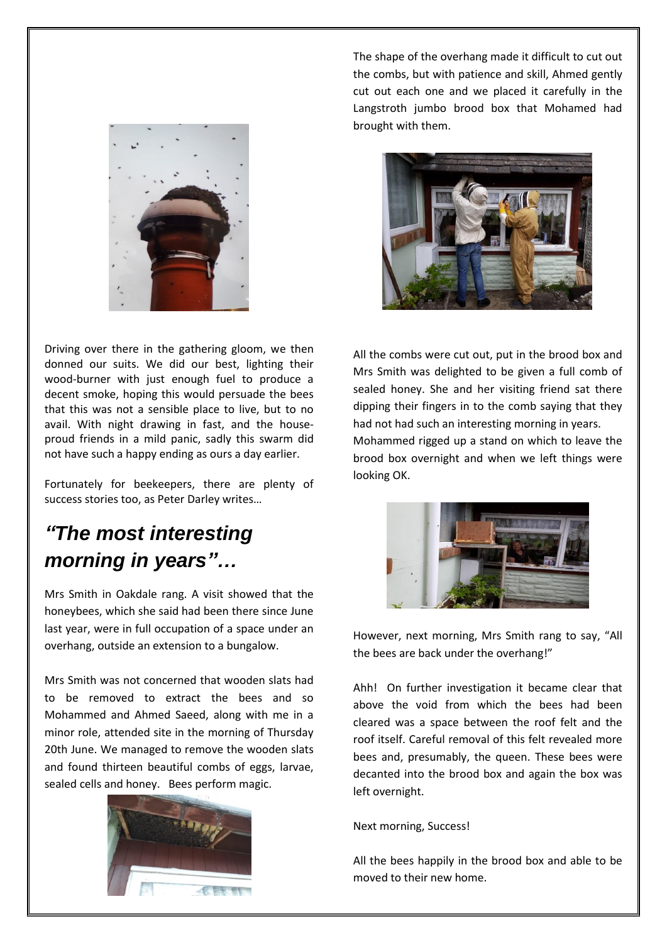

The shape of the overhang made it difficult to cut out the combs, but with patience and skill, Ahmed gently cut out each one and we placed it carefully in the Langstroth jumbo brood box that Mohamed had brought with them.



Driving over there in the gathering gloom, we then donned our suits. We did our best, lighting their wood-burner with just enough fuel to produce a decent smoke, hoping this would persuade the bees that this was not a sensible place to live, but to no avail. With night drawing in fast, and the houseproud friends in a mild panic, sadly this swarm did not have such a happy ending as ours a day earlier.

Fortunately for beekeepers, there are plenty of success stories too, as Peter Darley writes…

## *"The most interesting morning in years"…*

Mrs Smith in Oakdale rang. A visit showed that the honeybees, which she said had been there since June last year, were in full occupation of a space under an overhang, outside an extension to a bungalow.

Mrs Smith was not concerned that wooden slats had to be removed to extract the bees and so Mohammed and Ahmed Saeed, along with me in a minor role, attended site in the morning of Thursday 20th June. We managed to remove the wooden slats and found thirteen beautiful combs of eggs, larvae, sealed cells and honey. Bees perform magic.



All the combs were cut out, put in the brood box and Mrs Smith was delighted to be given a full comb of sealed honey. She and her visiting friend sat there dipping their fingers in to the comb saying that they had not had such an interesting morning in years.

Mohammed rigged up a stand on which to leave the brood box overnight and when we left things were looking OK.



However, next morning, Mrs Smith rang to say, "All the bees are back under the overhang!"

Ahh! On further investigation it became clear that above the void from which the bees had been cleared was a space between the roof felt and the roof itself. Careful removal of this felt revealed more bees and, presumably, the queen. These bees were decanted into the brood box and again the box was left overnight.

Next morning, Success!

All the bees happily in the brood box and able to be moved to their new home.